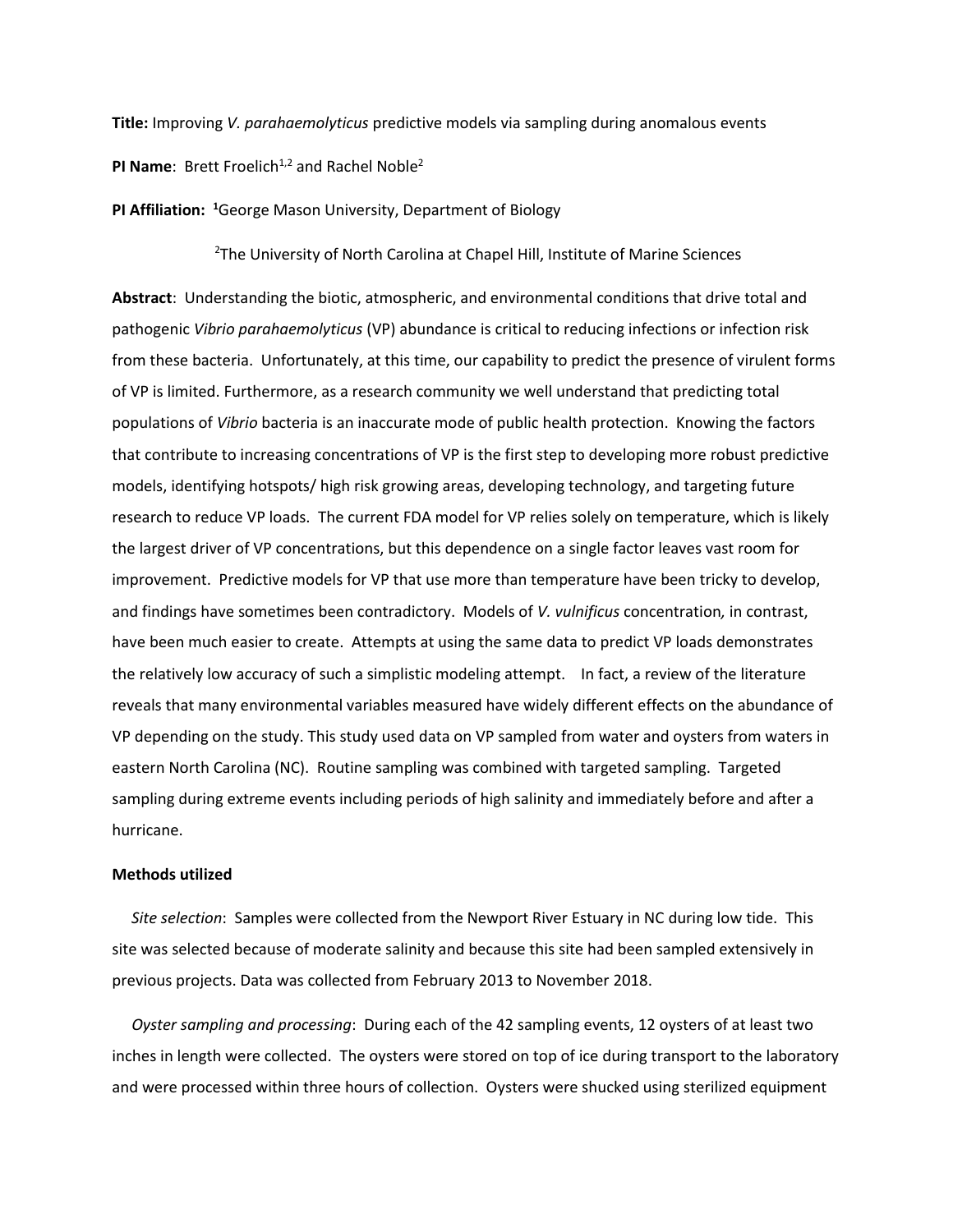**Title:** Improving *V. parahaemolyticus* predictive models via sampling during anomalous events

**PI Name:** Brett Froelich<sup>1,2</sup> and Rachel Noble<sup>2</sup>

**PI Affiliation: <sup>1</sup>**George Mason University, Department of Biology

<sup>2</sup>The University of North Carolina at Chapel Hill, Institute of Marine Sciences

**Abstract**: Understanding the biotic, atmospheric, and environmental conditions that drive total and pathogenic *Vibrio parahaemolyticus* (VP) abundance is critical to reducing infections or infection risk from these bacteria. Unfortunately, at this time, our capability to predict the presence of virulent forms of VP is limited. Furthermore, as a research community we well understand that predicting total populations of *Vibrio* bacteria is an inaccurate mode of public health protection. Knowing the factors that contribute to increasing concentrations of VP is the first step to developing more robust predictive models, identifying hotspots/ high risk growing areas, developing technology, and targeting future research to reduce VP loads. The current FDA model for VP relies solely on temperature, which is likely the largest driver of VP concentrations, but this dependence on a single factor leaves vast room for improvement. Predictive models for VP that use more than temperature have been tricky to develop, and findings have sometimes been contradictory. Models of *V. vulnificus* concentration*,* in contrast, have been much easier to create. Attempts at using the same data to predict VP loads demonstrates the relatively low accuracy of such a simplistic modeling attempt. In fact, a review of the literature reveals that many environmental variables measured have widely different effects on the abundance of VP depending on the study. This study used data on VP sampled from water and oysters from waters in eastern North Carolina (NC). Routine sampling was combined with targeted sampling. Targeted sampling during extreme events including periods of high salinity and immediately before and after a hurricane.

## **Methods utilized**

 *Site selection*: Samples were collected from the Newport River Estuary in NC during low tide. This site was selected because of moderate salinity and because this site had been sampled extensively in previous projects. Data was collected from February 2013 to November 2018.

 *Oyster sampling and processing*: During each of the 42 sampling events, 12 oysters of at least two inches in length were collected. The oysters were stored on top of ice during transport to the laboratory and were processed within three hours of collection. Oysters were shucked using sterilized equipment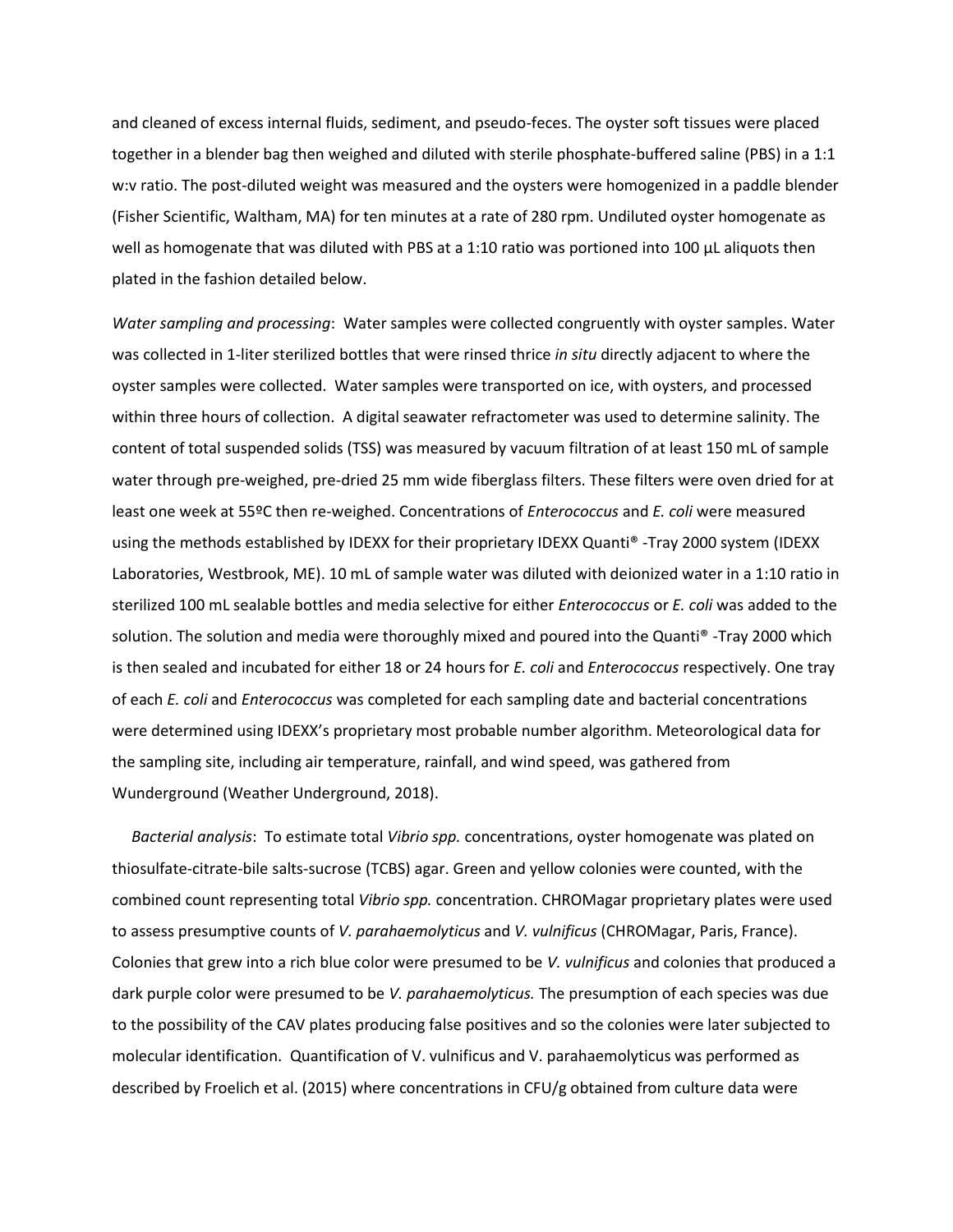and cleaned of excess internal fluids, sediment, and pseudo-feces. The oyster soft tissues were placed together in a blender bag then weighed and diluted with sterile phosphate-buffered saline (PBS) in a 1:1 w:v ratio. The post-diluted weight was measured and the oysters were homogenized in a paddle blender (Fisher Scientific, Waltham, MA) for ten minutes at a rate of 280 rpm. Undiluted oyster homogenate as well as homogenate that was diluted with PBS at a 1:10 ratio was portioned into 100 µL aliquots then plated in the fashion detailed below.

*Water sampling and processing*: Water samples were collected congruently with oyster samples. Water was collected in 1-liter sterilized bottles that were rinsed thrice *in situ* directly adjacent to where the oyster samples were collected. Water samples were transported on ice, with oysters, and processed within three hours of collection. A digital seawater refractometer was used to determine salinity. The content of total suspended solids (TSS) was measured by vacuum filtration of at least 150 mL of sample water through pre-weighed, pre-dried 25 mm wide fiberglass filters. These filters were oven dried for at least one week at 55ºC then re-weighed. Concentrations of *Enterococcus* and *E. coli* were measured using the methods established by IDEXX for their proprietary IDEXX Quanti® -Tray 2000 system (IDEXX Laboratories, Westbrook, ME). 10 mL of sample water was diluted with deionized water in a 1:10 ratio in sterilized 100 mL sealable bottles and media selective for either *Enterococcus* or *E. coli* was added to the solution. The solution and media were thoroughly mixed and poured into the Quanti® -Tray 2000 which is then sealed and incubated for either 18 or 24 hours for *E. coli* and *Enterococcus* respectively. One tray of each *E. coli* and *Enterococcus* was completed for each sampling date and bacterial concentrations were determined using IDEXX's proprietary most probable number algorithm. Meteorological data for the sampling site, including air temperature, rainfall, and wind speed, was gathered from Wunderground (Weather Underground, 2018).

 *Bacterial analysis*: To estimate total *Vibrio spp.* concentrations, oyster homogenate was plated on thiosulfate-citrate-bile salts-sucrose (TCBS) agar. Green and yellow colonies were counted, with the combined count representing total *Vibrio spp.* concentration. CHROMagar proprietary plates were used to assess presumptive counts of *V. parahaemolyticus* and *V. vulnificus* (CHROMagar, Paris, France). Colonies that grew into a rich blue color were presumed to be *V. vulnificus* and colonies that produced a dark purple color were presumed to be *V. parahaemolyticus.* The presumption of each species was due to the possibility of the CAV plates producing false positives and so the colonies were later subjected to molecular identification. Quantification of V. vulnificus and V. parahaemolyticus was performed as described by Froelich et al. (2015) where concentrations in CFU/g obtained from culture data were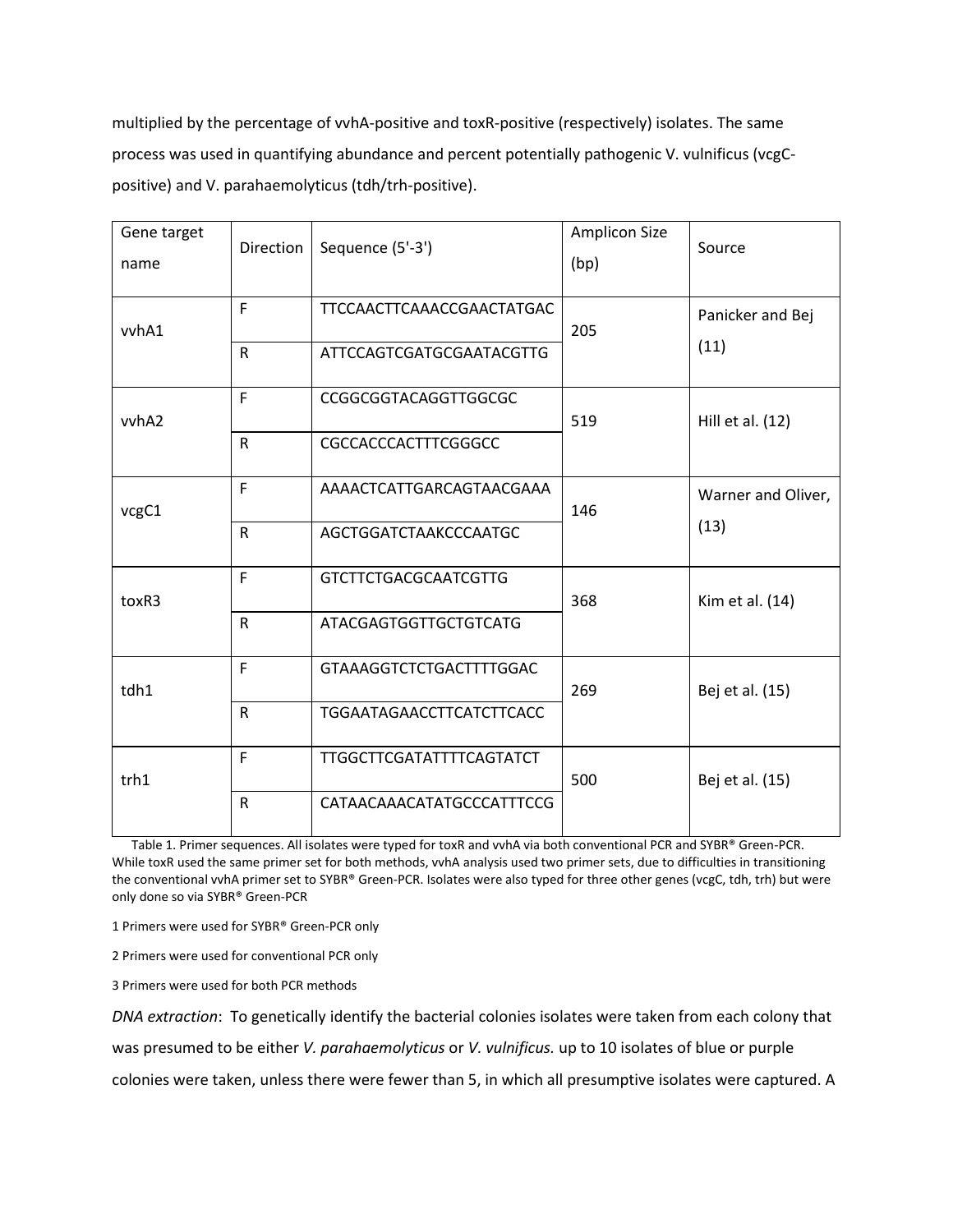multiplied by the percentage of vvhA-positive and toxR-positive (respectively) isolates. The same process was used in quantifying abundance and percent potentially pathogenic V. vulnificus (vcgCpositive) and V. parahaemolyticus (tdh/trh-positive).

| Gene target<br>name | Direction    | Sequence (5'-3')                | <b>Amplicon Size</b><br>(bp) | Source             |  |
|---------------------|--------------|---------------------------------|------------------------------|--------------------|--|
| vvhA1               | F            | TTCCAACTTCAAACCGAACTATGAC       | 205                          | Panicker and Bej   |  |
|                     | $\mathsf{R}$ | ATTCCAGTCGATGCGAATACGTTG        |                              | (11)               |  |
| vvhA2               | F            | CCGGCGGTACAGGTTGGCGC            | 519                          | Hill et al. (12)   |  |
|                     | $\mathsf{R}$ | CGCCACCCACTTTCGGGCC             |                              |                    |  |
| vcgC1               | F            | AAAACTCATTGARCAGTAACGAAA        | 146                          | Warner and Oliver, |  |
|                     | $\mathsf{R}$ | AGCTGGATCTAAKCCCAATGC           |                              | (13)               |  |
| toxR3               | F            | <b>GTCTTCTGACGCAATCGTTG</b>     | 368                          | Kim et al. (14)    |  |
|                     | $\mathsf{R}$ | <b>ATACGAGTGGTTGCTGTCATG</b>    |                              |                    |  |
| tdh1                | F            | GTAAAGGTCTCTGACTTTTGGAC         | 269                          | Bej et al. (15)    |  |
|                     | $\mathsf{R}$ | <b>TGGAATAGAACCTTCATCTTCACC</b> |                              |                    |  |
| trh1                | F            | <b>TTGGCTTCGATATTTTCAGTATCT</b> | 500                          | Bej et al. (15)    |  |
|                     | $\mathsf{R}$ | CATAACAAACATATGCCCATTTCCG       |                              |                    |  |

 Table 1. Primer sequences. All isolates were typed for toxR and vvhA via both conventional PCR and SYBR® Green-PCR. While toxR used the same primer set for both methods, vvhA analysis used two primer sets, due to difficulties in transitioning the conventional vvhA primer set to SYBR® Green-PCR. Isolates were also typed for three other genes (vcgC, tdh, trh) but were only done so via SYBR® Green-PCR

1 Primers were used for SYBR® Green-PCR only

2 Primers were used for conventional PCR only

3 Primers were used for both PCR methods

*DNA extraction*: To genetically identify the bacterial colonies isolates were taken from each colony that was presumed to be either *V. parahaemolyticus* or *V. vulnificus.* up to 10 isolates of blue or purple colonies were taken, unless there were fewer than 5, in which all presumptive isolates were captured. A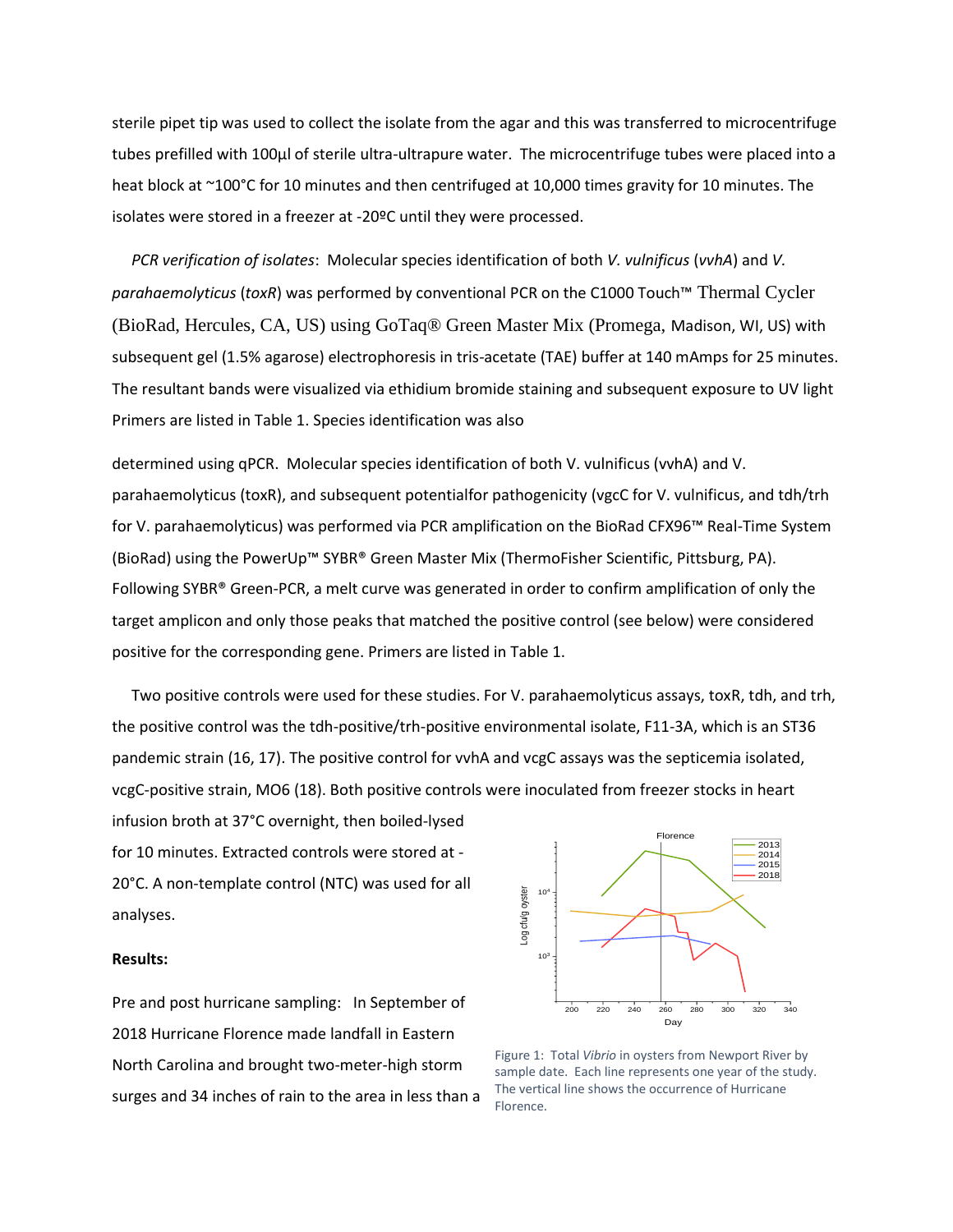sterile pipet tip was used to collect the isolate from the agar and this was transferred to microcentrifuge tubes prefilled with 100µl of sterile ultra-ultrapure water. The microcentrifuge tubes were placed into a heat block at ~100°C for 10 minutes and then centrifuged at 10,000 times gravity for 10 minutes. The isolates were stored in a freezer at -20ºC until they were processed.

 *PCR verification of isolates*: Molecular species identification of both *V. vulnificus* (*vvhA*) and *V. parahaemolyticus* (*toxR*) was performed by conventional PCR on the C1000 Touch™ Thermal Cycler (BioRad, Hercules, CA, US) using GoTaq® Green Master Mix (Promega, Madison, WI, US) with subsequent gel (1.5% agarose) electrophoresis in tris-acetate (TAE) buffer at 140 mAmps for 25 minutes. The resultant bands were visualized via ethidium bromide staining and subsequent exposure to UV light Primers are listed in Table 1. Species identification was also

determined using qPCR. Molecular species identification of both V. vulnificus (vvhA) and V. parahaemolyticus (toxR), and subsequent potentialfor pathogenicity (vgcC for V. vulnificus, and tdh/trh for V. parahaemolyticus) was performed via PCR amplification on the BioRad CFX96™ Real-Time System (BioRad) using the PowerUp™ SYBR® Green Master Mix (ThermoFisher Scientific, Pittsburg, PA). Following SYBR® Green-PCR, a melt curve was generated in order to confirm amplification of only the target amplicon and only those peaks that matched the positive control (see below) were considered positive for the corresponding gene. Primers are listed in Table 1.

 Two positive controls were used for these studies. For V. parahaemolyticus assays, toxR, tdh, and trh, the positive control was the tdh-positive/trh-positive environmental isolate, F11-3A, which is an ST36 pandemic strain (16, 17). The positive control for vvhA and vcgC assays was the septicemia isolated, vcgC-positive strain, MO6 (18). Both positive controls were inoculated from freezer stocks in heart

infusion broth at 37°C overnight, then boiled-lysed for 10 minutes. Extracted controls were stored at - 20°C. A non-template control (NTC) was used for all analyses.

# **Results:**

Pre and post hurricane sampling: In September of 2018 Hurricane Florence made landfall in Eastern North Carolina and brought two-meter-high storm surges and 34 inches of rain to the area in less than a



Figure 1: Total *Vibrio* in oysters from Newport River by sample date. Each line represents one year of the study. The vertical line shows the occurrence of Hurricane Florence.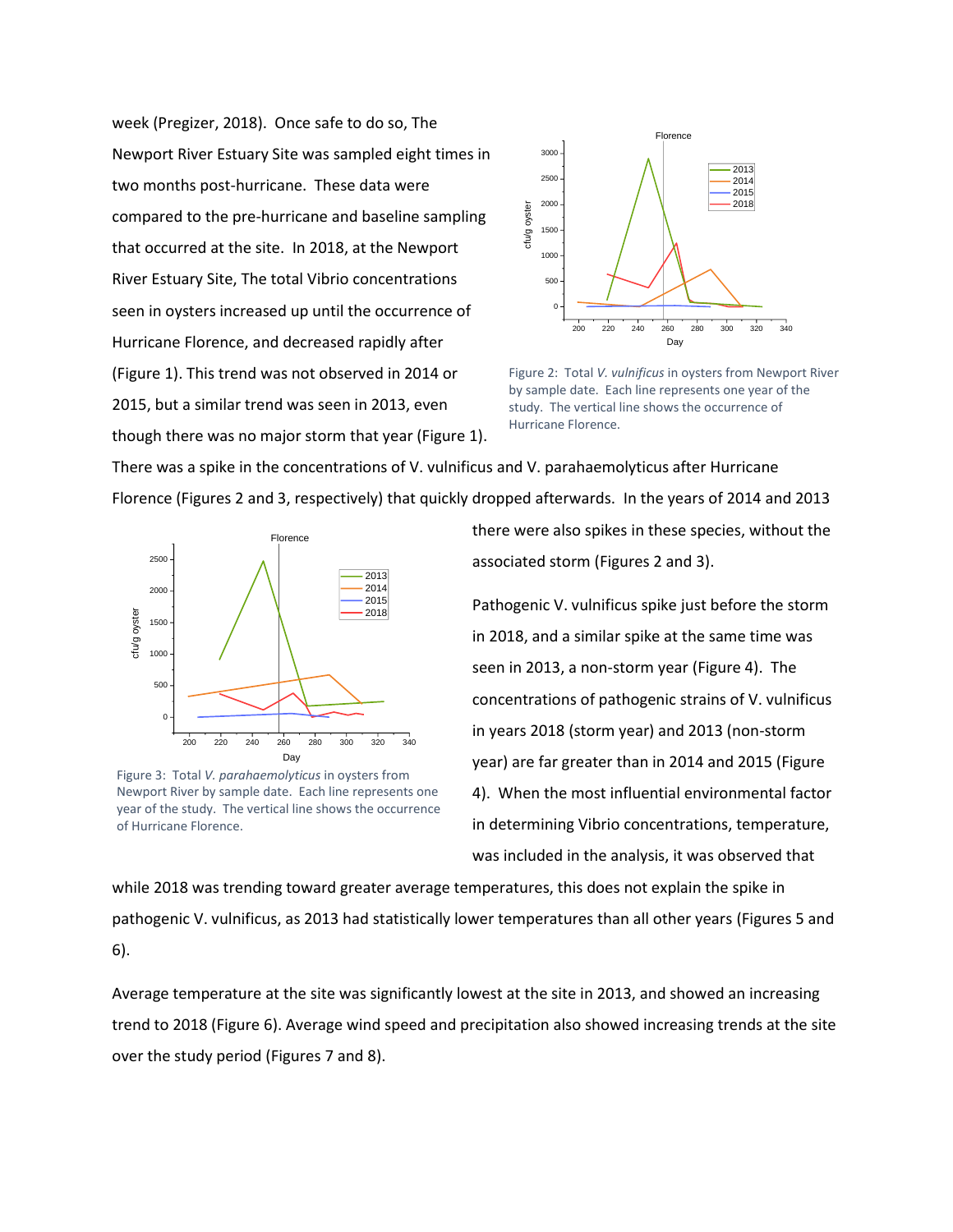week (Pregizer, 2018). Once safe to do so, The Newport River Estuary Site was sampled eight times in two months post-hurricane. These data were compared to the pre-hurricane and baseline sampling that occurred at the site. In 2018, at the Newport River Estuary Site, The total Vibrio concentrations seen in oysters increased up until the occurrence of Hurricane Florence, and decreased rapidly after (Figure 1). This trend was not observed in 2014 or 2015, but a similar trend was seen in 2013, even though there was no major storm that year (Figure 1).



Figure 2: Total *V. vulnificus* in oysters from Newport River by sample date. Each line represents one year of the study. The vertical line shows the occurrence of Hurricane Florence.

There was a spike in the concentrations of V. vulnificus and V. parahaemolyticus after Hurricane Florence (Figures 2 and 3, respectively) that quickly dropped afterwards. In the years of 2014 and 2013



Figure 3: Total *V. parahaemolyticus* in oysters from Newport River by sample date. Each line represents one year of the study. The vertical line shows the occurrence of Hurricane Florence.

there were also spikes in these species, without the associated storm (Figures 2 and 3).

 $\frac{2015}{2018}$  Pathogenic V. vulnificus spike just before the storm in 2018, and a similar spike at the same time was seen in 2013, a non-storm year (Figure 4). The concentrations of pathogenic strains of V. vulnificus in years 2018 (storm year) and 2013 (non-storm year) are far greater than in 2014 and 2015 (Figure 4). When the most influential environmental factor in determining Vibrio concentrations, temperature, was included in the analysis, it was observed that

while 2018 was trending toward greater average temperatures, this does not explain the spike in pathogenic V. vulnificus, as 2013 had statistically lower temperatures than all other years (Figures 5 and 6).

Average temperature at the site was significantly lowest at the site in 2013, and showed an increasing trend to 2018 (Figure 6). Average wind speed and precipitation also showed increasing trends at the site over the study period (Figures 7 and 8).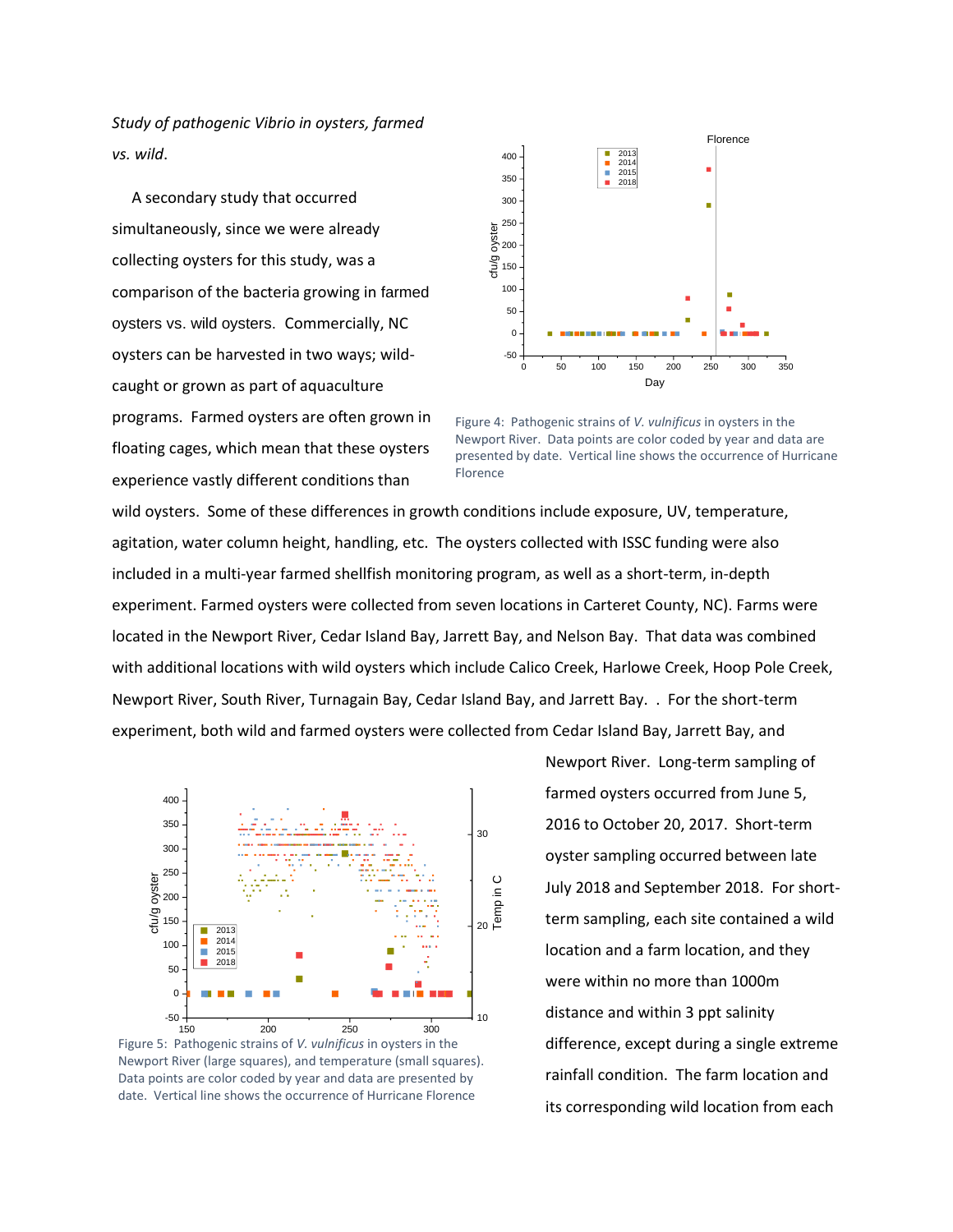*Study of pathogenic Vibrio in oysters, farmed vs. wild*.

 A secondary study that occurred simultaneously, since we were already collecting oysters for this study, was a comparison of the bacteria growing in farmed oysters vs. wild oysters. Commercially, NC oysters can be harvested in two ways; wildcaught or grown as part of aquaculture programs. Farmed oysters are often grown in floating cages, which mean that these oysters experience vastly different conditions than



Figure 4: Pathogenic strains of *V. vulnificus* in oysters in the Newport River. Data points are color coded by year and data are presented by date. Vertical line shows the occurrence of Hurricane Florence

wild oysters. Some of these differences in growth conditions include exposure, UV, temperature, agitation, water column height, handling, etc. The oysters collected with ISSC funding were also included in a multi-year farmed shellfish monitoring program, as well as a short-term, in-depth experiment. Farmed oysters were collected from seven locations in Carteret County, NC). Farms were located in the Newport River, Cedar Island Bay, Jarrett Bay, and Nelson Bay. That data was combined with additional locations with wild oysters which include Calico Creek, Harlowe Creek, Hoop Pole Creek, Newport River, South River, Turnagain Bay, Cedar Island Bay, and Jarrett Bay. . For the short-term experiment, both wild and farmed oysters were collected from Cedar Island Bay, Jarrett Bay, and



Figure 5: Pathogenic strains of *V. vulnificus* in oysters in the Newport River (large squares), and temperature (small squares). Data points are color coded by year and data are presented by date. Vertical line shows the occurrence of Hurricane Florence

Newport River. Long-term sampling of farmed oysters occurred from June 5, 2016 to October 20, 2017. Short-term oyster sampling occurred between late July 2018 and September 2018. For short-<br>  $E =$  term sampling, each site contained a wild term sampling, each site contained a wild location and a farm location, and they were within no more than 1000m  $_{10}$  distance and within 3 ppt salinity difference, except during a single extreme rainfall condition. The farm location and its corresponding wild location from each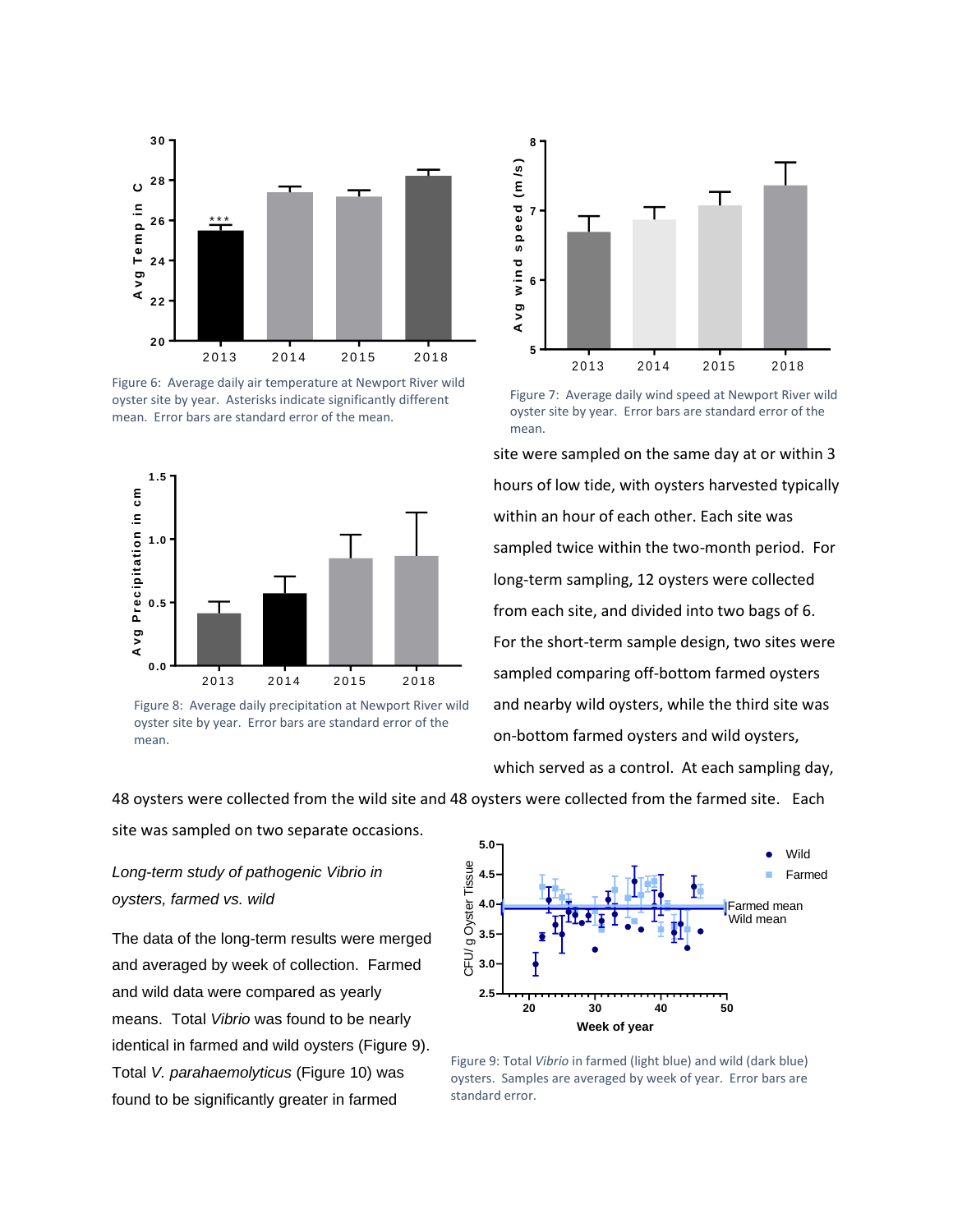

Figure 6: Average daily air temperature at Newport River wild oyster site by year. Asterisks indicate significantly different mean. Error bars are standard error of the mean.



oyster site by year. Error bars are standard error of the mean.



Figure 7: Average daily wind speed at Newport River wild oyster site by year. Error bars are standard error of the mean.

site were sampled on the same day at or within 3 hours of low tide, with oysters harvested typically within an hour of each other. Each site was sampled twice within the two-month period. For long-term sampling, 12 oysters were collected from each site, and divided into two bags of 6. For the short-term sample design, two sites were sampled comparing off-bottom farmed oysters and nearby wild oysters, while the third site was on-bottom farmed oysters and wild oysters, which served as a control. At each sampling day,

48 oysters were collected from the wild site and 48 oysters were collected from the farmed site. Each

site was sampled on two separate occasions.

*Long-term study of pathogenic Vibrio in oysters, farmed vs. wild*

The data of the long-term results were merged and averaged by week of collection. Farmed and wild data were compared as yearly means. Total *Vibrio* was found to be nearly identical in farmed and wild oysters (Figure 9). Total *V. parahaemolyticus* (Figure 10) was found to be significantly greater in farmed



Figure 9: Total *Vibrio* in farmed (light blue) and wild (dark blue) oysters. Samples are averaged by week of year. Error bars are standard error.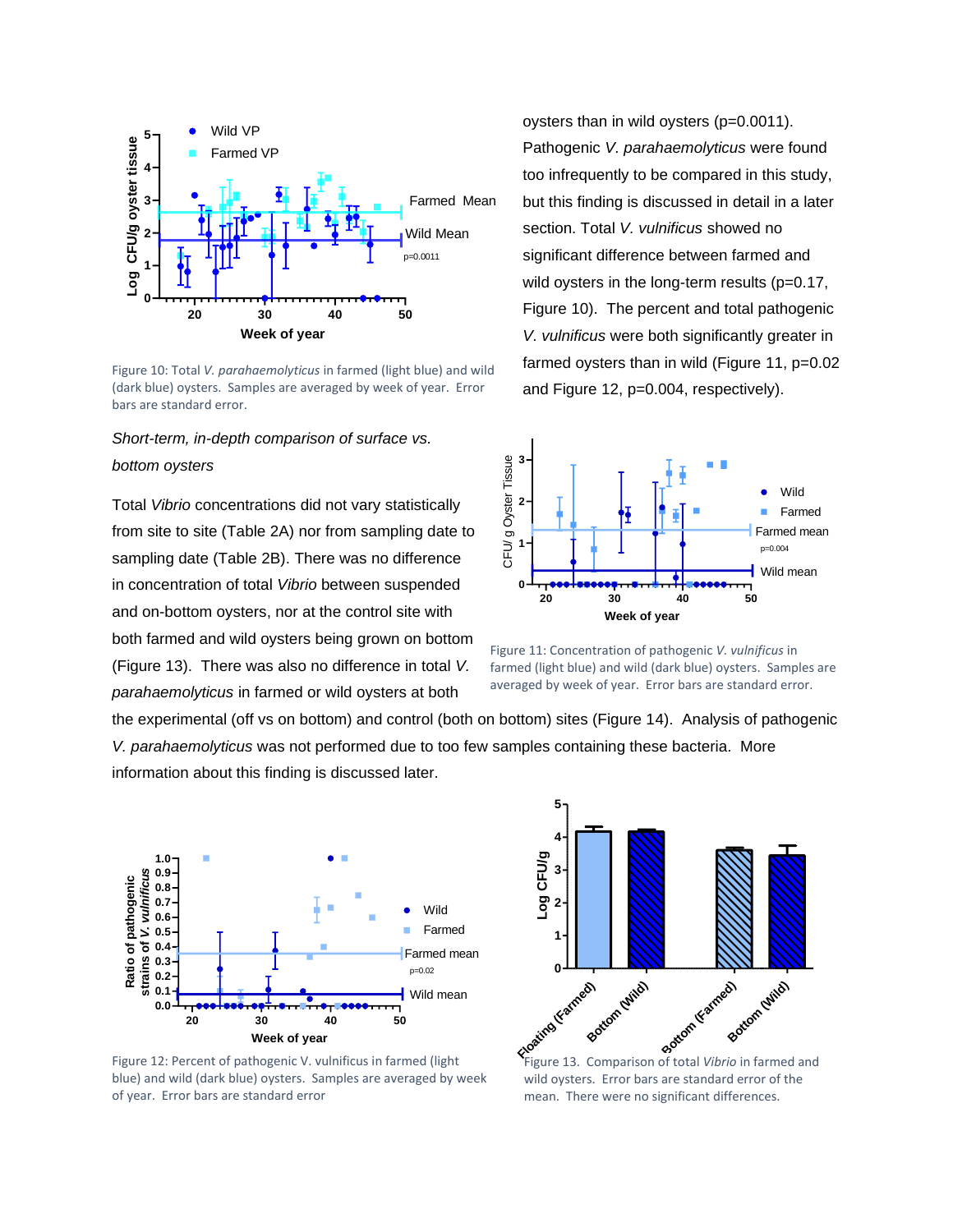

Figure 10: Total *V. parahaemolyticus* in farmed (light blue) and wild (dark blue) oysters. Samples are averaged by week of year. Error bars are standard error.

# *Short-term, in-depth comparison of surface vs. bottom oysters*

Total *Vibrio* concentrations did not vary statistically from site to site (Table 2A) nor from sampling date to sampling date (Table 2B). There was no difference in concentration of total *Vibrio* between suspended and on-bottom oysters, nor at the control site with both farmed and wild oysters being grown on bottom (Figure 13). There was also no difference in total *V. parahaemolyticus* in farmed or wild oysters at both

oysters than in wild oysters (p=0.0011). Pathogenic *V. parahaemolyticus* were found too infrequently to be compared in this study, but this finding is discussed in detail in a later section. Total *V. vulnificus* showed no significant difference between farmed and wild oysters in the long-term results (p=0.17, Figure 10). The percent and total pathogenic *V. vulnificus* were both significantly greater in farmed oysters than in wild (Figure 11, p=0.02 and Figure 12, p=0.004, respectively).



Figure 11: Concentration of pathogenic *V. vulnificus* in farmed (light blue) and wild (dark blue) oysters. Samples are averaged by week of year. Error bars are standard error.

the experimental (off vs on bottom) and control (both on bottom) sites (Figure 14). Analysis of pathogenic *V. parahaemolyticus* was not performed due to too few samples containing these bacteria. More information about this finding is discussed later.



Figure 12: Percent of pathogenic V. vulnificus in farmed (light blue) and wild (dark blue) oysters. Samples are averaged by week of year. Error bars are standard error



Figure 13. Comparison of total *Vibrio* in farmed and wild oysters. Error bars are standard error of the mean. There were no significant differences.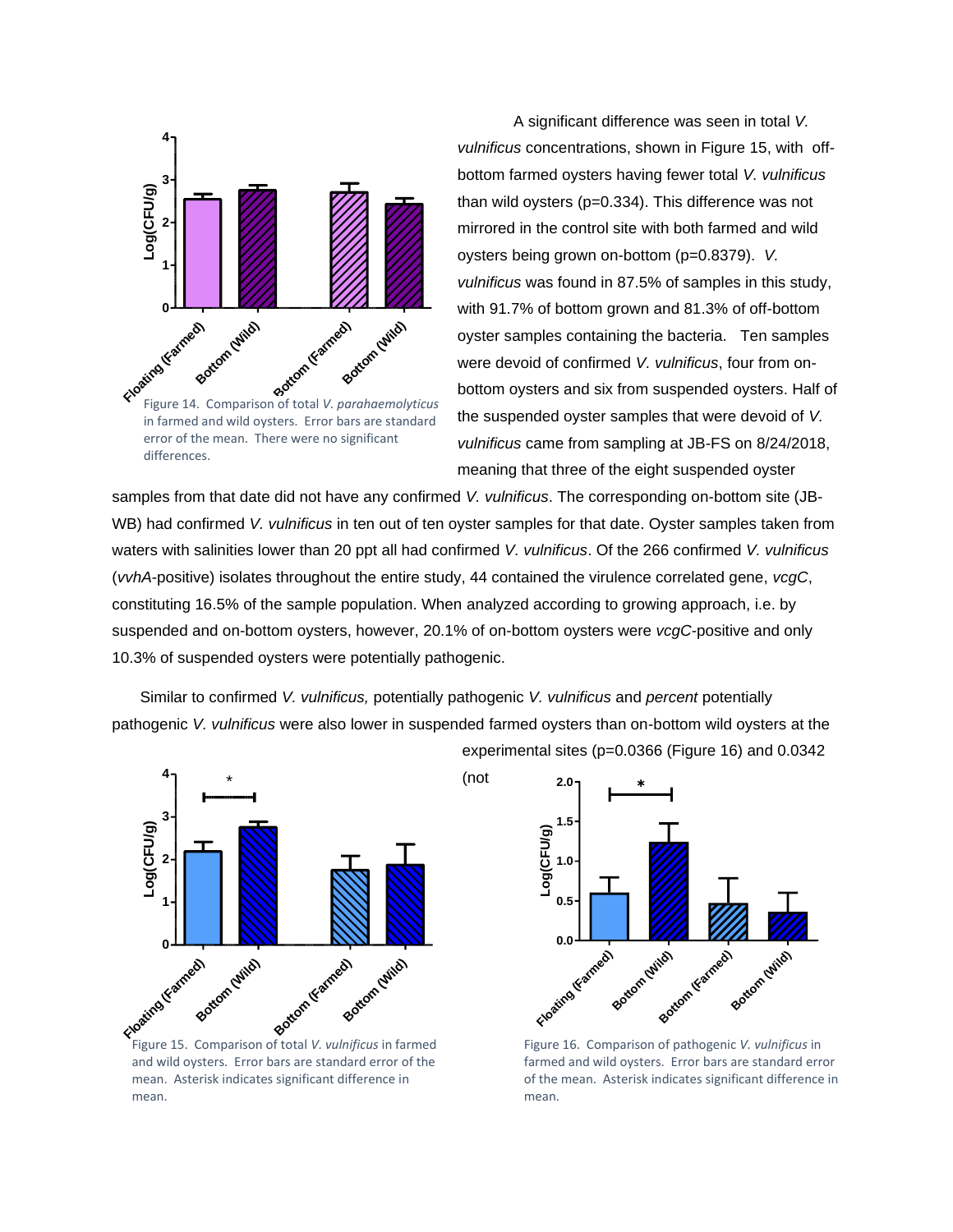

in farmed and wild oysters. Error bars are standard differences.

A significant difference was seen in total *V. vulnificus* concentrations, shown in Figure 15, with offbottom farmed oysters having fewer total *V. vulnificus*  than wild oysters (p=0.334). This difference was not mirrored in the control site with both farmed and wild oysters being grown on-bottom (p=0.8379). *V. vulnificus* was found in 87.5% of samples in this study, with 91.7% of bottom grown and 81.3% of off-bottom oyster samples containing the bacteria. Ten samples were devoid of confirmed *V. vulnificus*, four from onbottom oysters and six from suspended oysters. Half of the suspended oyster samples that were devoid of *V. vulnificus* came from sampling at JB-FS on 8/24/2018, meaning that three of the eight suspended oyster

samples from that date did not have any confirmed *V. vulnificus*. The corresponding on-bottom site (JB-WB) had confirmed *V. vulnificus* in ten out of ten oyster samples for that date. Oyster samples taken from waters with salinities lower than 20 ppt all had confirmed *V. vulnificus*. Of the 266 confirmed *V. vulnificus* (*vvhA*-positive) isolates throughout the entire study, 44 contained the virulence correlated gene, *vcgC*, constituting 16.5% of the sample population. When analyzed according to growing approach, i.e. by suspended and on-bottom oysters, however, 20.1% of on-bottom oysters were *vcgC*-positive and only 10.3% of suspended oysters were potentially pathogenic.

Similar to confirmed *V. vulnificus,* potentially pathogenic *V. vulnificus* and *percent* potentially pathogenic *V. vulnificus* were also lower in suspended farmed oysters than on-bottom wild oysters at the experimental sites (p=0.0366 (Figure 16) and 0.0342

(not



Figure 15. Comparison of total *V. vulnificus* in farmed and wild oysters. Error bars are standard error of the mean. Asterisk indicates significant difference in mean.



Figure 16. Comparison of pathogenic *V. vulnificus* in farmed and wild oysters. Error bars are standard error of the mean. Asterisk indicates significant difference in mean.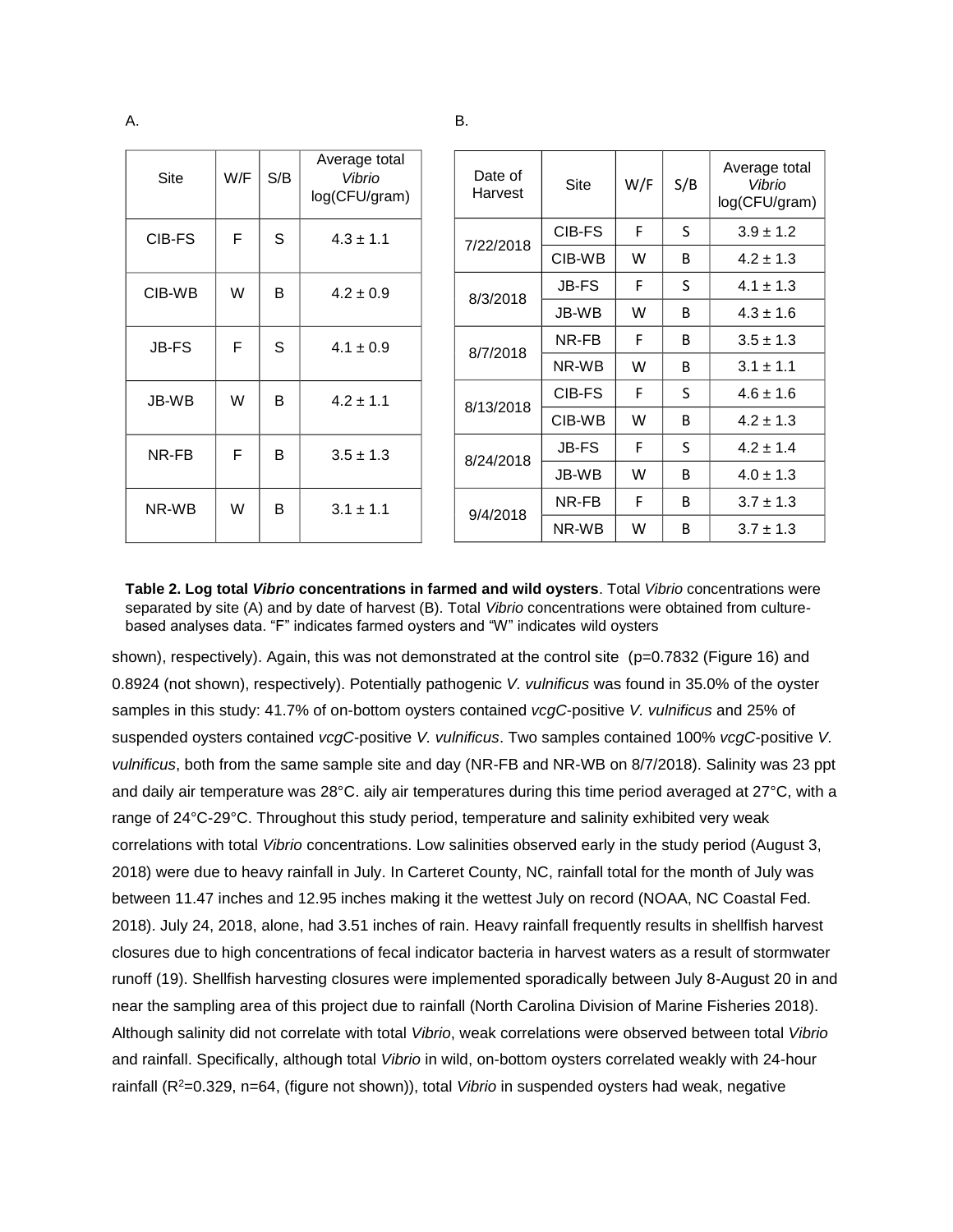| <b>Site</b>  | W/F | S/B          | Average total<br>Vibrio<br>log(CFU/gram) |           | Date of<br>Harvest | Site         | W/F | S/B           | Average total<br>Vibrio<br>log(CFU/gram) |
|--------------|-----|--------------|------------------------------------------|-----------|--------------------|--------------|-----|---------------|------------------------------------------|
| CIB-FS       | F   | S            | $4.3 \pm 1.1$                            |           | 7/22/2018          | CIB-FS       | F   | S.            | $3.9 \pm 1.2$                            |
|              |     |              |                                          |           |                    | CIB-WB       | W   | B             | $4.2 \pm 1.3$                            |
| CIB-WB       | W   | B            | $4.2 \pm 0.9$                            |           | 8/3/2018           | <b>JB-FS</b> | F   | S.            | $4.1 \pm 1.3$                            |
|              |     |              |                                          |           |                    | JB-WB        | W   | B             | $4.3 \pm 1.6$                            |
| <b>JB-FS</b> | F   | S            | $4.1 \pm 0.9$                            | 8/7/2018  | NR-FB              | F            | B   | $3.5 \pm 1.3$ |                                          |
|              |     |              |                                          |           |                    | NR-WB        | W   | B             | $3.1 \pm 1.1$                            |
| JB-WB        | W   | <sub>R</sub> | $4.2 \pm 1.1$                            |           | 8/13/2018          | CIB-FS       | F   | S.            | $4.6 \pm 1.6$                            |
|              |     |              |                                          |           |                    | CIB-WB       | W   | B             | $4.2 \pm 1.3$                            |
| NR-FB        | F   | B            | $3.5 \pm 1.3$                            | 8/24/2018 | <b>JB-FS</b>       | F            | S.  | $4.2 \pm 1.4$ |                                          |
|              |     |              |                                          |           | JB-WB              | W            | B   | $4.0 \pm 1.3$ |                                          |
| NR-WB        | W   | B            | $3.1 \pm 1.1$                            |           | 9/4/2018           | NR-FB        | F   | <sub>B</sub>  | $3.7 \pm 1.3$                            |
|              |     |              |                                          |           |                    | NR-WB        | W   | B             | $3.7 \pm 1.3$                            |

**Table 2. Log total** *Vibrio* **concentrations in farmed and wild oysters**. Total *Vibrio* concentrations were separated by site (A) and by date of harvest (B). Total *Vibrio* concentrations were obtained from culturebased analyses data. "F" indicates farmed oysters and "W" indicates wild oysters

shown), respectively). Again, this was not demonstrated at the control site (p=0.7832 (Figure 16) and 0.8924 (not shown), respectively). Potentially pathogenic *V. vulnificus* was found in 35.0% of the oyster samples in this study: 41.7% of on-bottom oysters contained *vcgC*-positive *V. vulnificus* and 25% of suspended oysters contained *vcgC*-positive *V. vulnificus*. Two samples contained 100% *vcgC*-positive *V. vulnificus*, both from the same sample site and day (NR-FB and NR-WB on 8/7/2018). Salinity was 23 ppt and daily air temperature was 28°C. aily air temperatures during this time period averaged at 27°C, with a range of 24°C-29°C. Throughout this study period, temperature and salinity exhibited very weak correlations with total *Vibrio* concentrations. Low salinities observed early in the study period (August 3, 2018) were due to heavy rainfall in July. In Carteret County, NC, rainfall total for the month of July was between 11.47 inches and 12.95 inches making it the wettest July on record (NOAA, NC Coastal Fed. 2018). July 24, 2018, alone, had 3.51 inches of rain. Heavy rainfall frequently results in shellfish harvest closures due to high concentrations of fecal indicator bacteria in harvest waters as a result of stormwater runoff (19). Shellfish harvesting closures were implemented sporadically between July 8-August 20 in and near the sampling area of this project due to rainfall (North Carolina Division of Marine Fisheries 2018). Although salinity did not correlate with total *Vibrio*, weak correlations were observed between total *Vibrio* and rainfall. Specifically, although total *Vibrio* in wild, on-bottom oysters correlated weakly with 24-hour rainfall (R<sup>2</sup>=0.329, n=64, (figure not shown)), total *Vibrio* in suspended oysters had weak, negative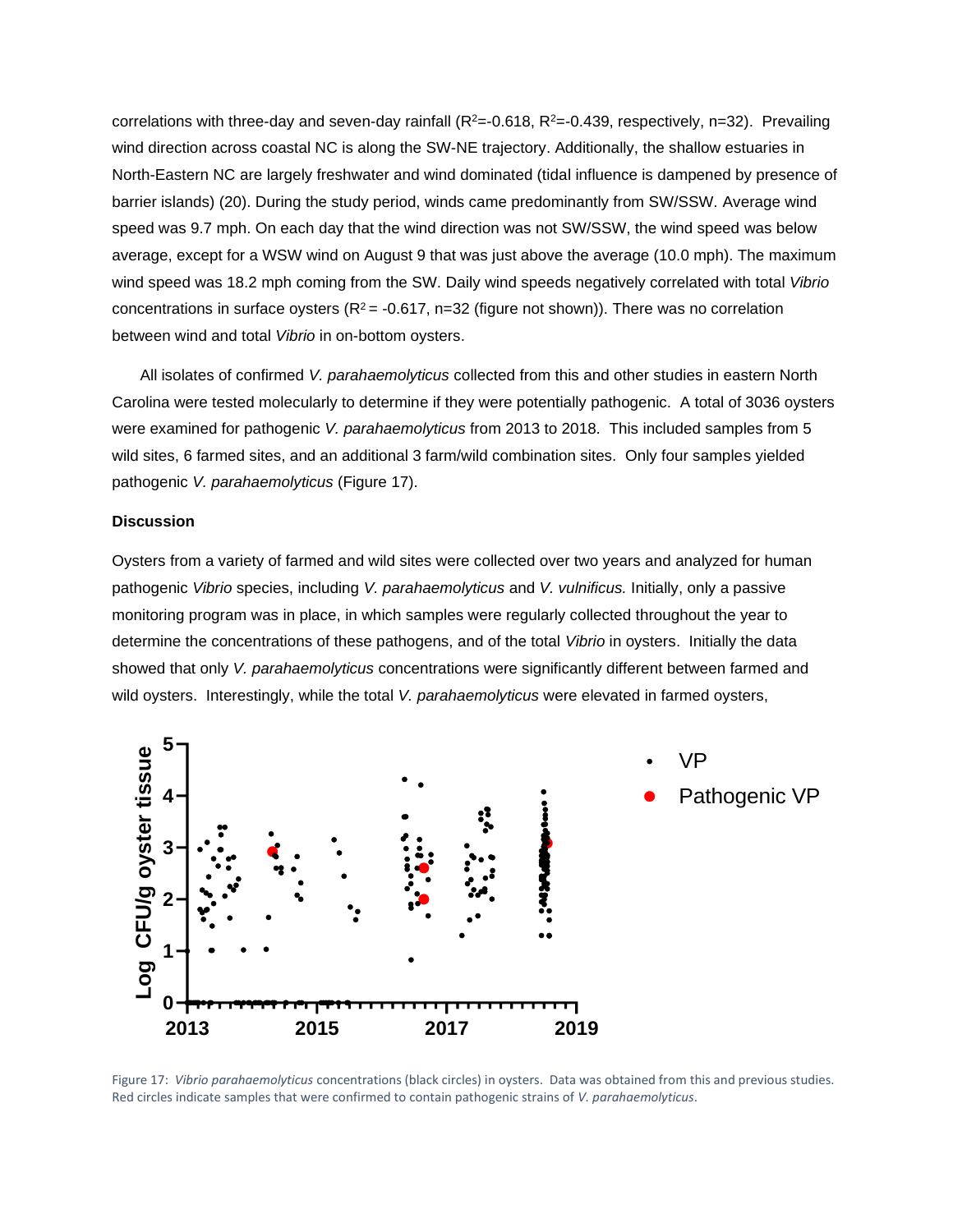correlations with three-day and seven-day rainfall ( $R^2$ =-0.618,  $R^2$ =-0.439, respectively, n=32). Prevailing wind direction across coastal NC is along the SW-NE trajectory. Additionally, the shallow estuaries in North-Eastern NC are largely freshwater and wind dominated (tidal influence is dampened by presence of barrier islands) (20). During the study period, winds came predominantly from SW/SSW. Average wind speed was 9.7 mph. On each day that the wind direction was not SW/SSW, the wind speed was below average, except for a WSW wind on August 9 that was just above the average (10.0 mph). The maximum wind speed was 18.2 mph coming from the SW. Daily wind speeds negatively correlated with total *Vibrio* concentrations in surface oysters ( $R^2$  = -0.617, n=32 (figure not shown)). There was no correlation between wind and total *Vibrio* in on-bottom oysters.

All isolates of confirmed *V. parahaemolyticus* collected from this and other studies in eastern North Carolina were tested molecularly to determine if they were potentially pathogenic. A total of 3036 oysters were examined for pathogenic *V. parahaemolyticus* from 2013 to 2018. This included samples from 5 wild sites, 6 farmed sites, and an additional 3 farm/wild combination sites. Only four samples yielded pathogenic *V. parahaemolyticus* (Figure 17).

#### **Discussion**

Oysters from a variety of farmed and wild sites were collected over two years and analyzed for human pathogenic *Vibrio* species, including *V. parahaemolyticus* and *V. vulnificus.* Initially, only a passive monitoring program was in place, in which samples were regularly collected throughout the year to determine the concentrations of these pathogens, and of the total *Vibrio* in oysters. Initially the data showed that only *V. parahaemolyticus* concentrations were significantly different between farmed and wild oysters. Interestingly, while the total *V. parahaemolyticus* were elevated in farmed oysters,



Figure 17: *Vibrio parahaemolyticus* concentrations (black circles) in oysters. Data was obtained from this and previous studies. Red circles indicate samples that were confirmed to contain pathogenic strains of *V. parahaemolyticus*.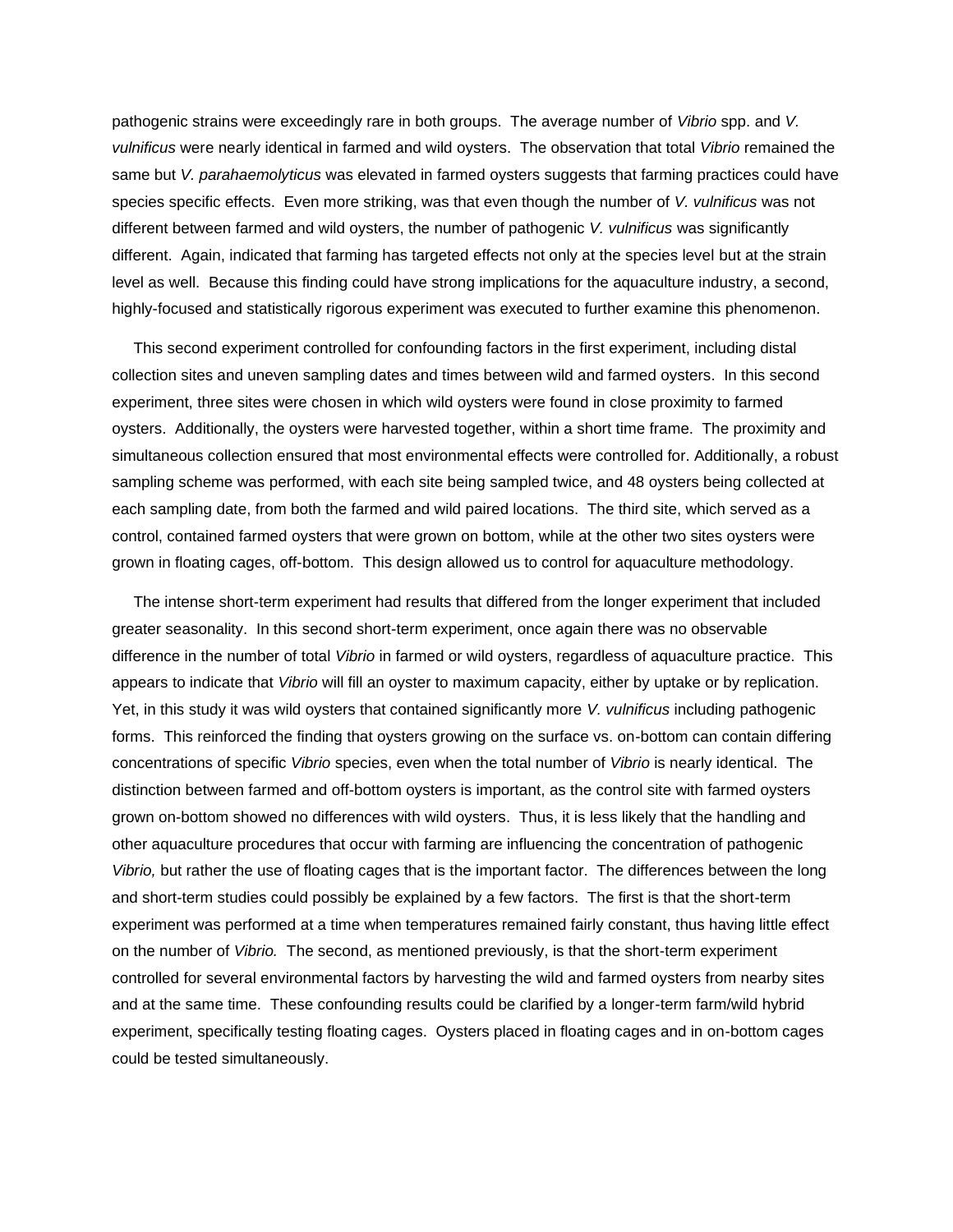pathogenic strains were exceedingly rare in both groups. The average number of *Vibrio* spp. and *V. vulnificus* were nearly identical in farmed and wild oysters. The observation that total *Vibrio* remained the same but *V. parahaemolyticus* was elevated in farmed oysters suggests that farming practices could have species specific effects. Even more striking, was that even though the number of *V. vulnificus* was not different between farmed and wild oysters, the number of pathogenic *V. vulnificus* was significantly different. Again, indicated that farming has targeted effects not only at the species level but at the strain level as well. Because this finding could have strong implications for the aquaculture industry, a second, highly-focused and statistically rigorous experiment was executed to further examine this phenomenon.

 This second experiment controlled for confounding factors in the first experiment, including distal collection sites and uneven sampling dates and times between wild and farmed oysters. In this second experiment, three sites were chosen in which wild oysters were found in close proximity to farmed oysters. Additionally, the oysters were harvested together, within a short time frame. The proximity and simultaneous collection ensured that most environmental effects were controlled for. Additionally, a robust sampling scheme was performed, with each site being sampled twice, and 48 oysters being collected at each sampling date, from both the farmed and wild paired locations. The third site, which served as a control, contained farmed oysters that were grown on bottom, while at the other two sites oysters were grown in floating cages, off-bottom. This design allowed us to control for aquaculture methodology.

 The intense short-term experiment had results that differed from the longer experiment that included greater seasonality. In this second short-term experiment, once again there was no observable difference in the number of total *Vibrio* in farmed or wild oysters, regardless of aquaculture practice. This appears to indicate that *Vibrio* will fill an oyster to maximum capacity, either by uptake or by replication. Yet, in this study it was wild oysters that contained significantly more *V. vulnificus* including pathogenic forms. This reinforced the finding that oysters growing on the surface vs. on-bottom can contain differing concentrations of specific *Vibrio* species, even when the total number of *Vibrio* is nearly identical. The distinction between farmed and off-bottom oysters is important, as the control site with farmed oysters grown on-bottom showed no differences with wild oysters. Thus, it is less likely that the handling and other aquaculture procedures that occur with farming are influencing the concentration of pathogenic *Vibrio,* but rather the use of floating cages that is the important factor. The differences between the long and short-term studies could possibly be explained by a few factors. The first is that the short-term experiment was performed at a time when temperatures remained fairly constant, thus having little effect on the number of *Vibrio.* The second, as mentioned previously, is that the short-term experiment controlled for several environmental factors by harvesting the wild and farmed oysters from nearby sites and at the same time. These confounding results could be clarified by a longer-term farm/wild hybrid experiment, specifically testing floating cages. Oysters placed in floating cages and in on-bottom cages could be tested simultaneously.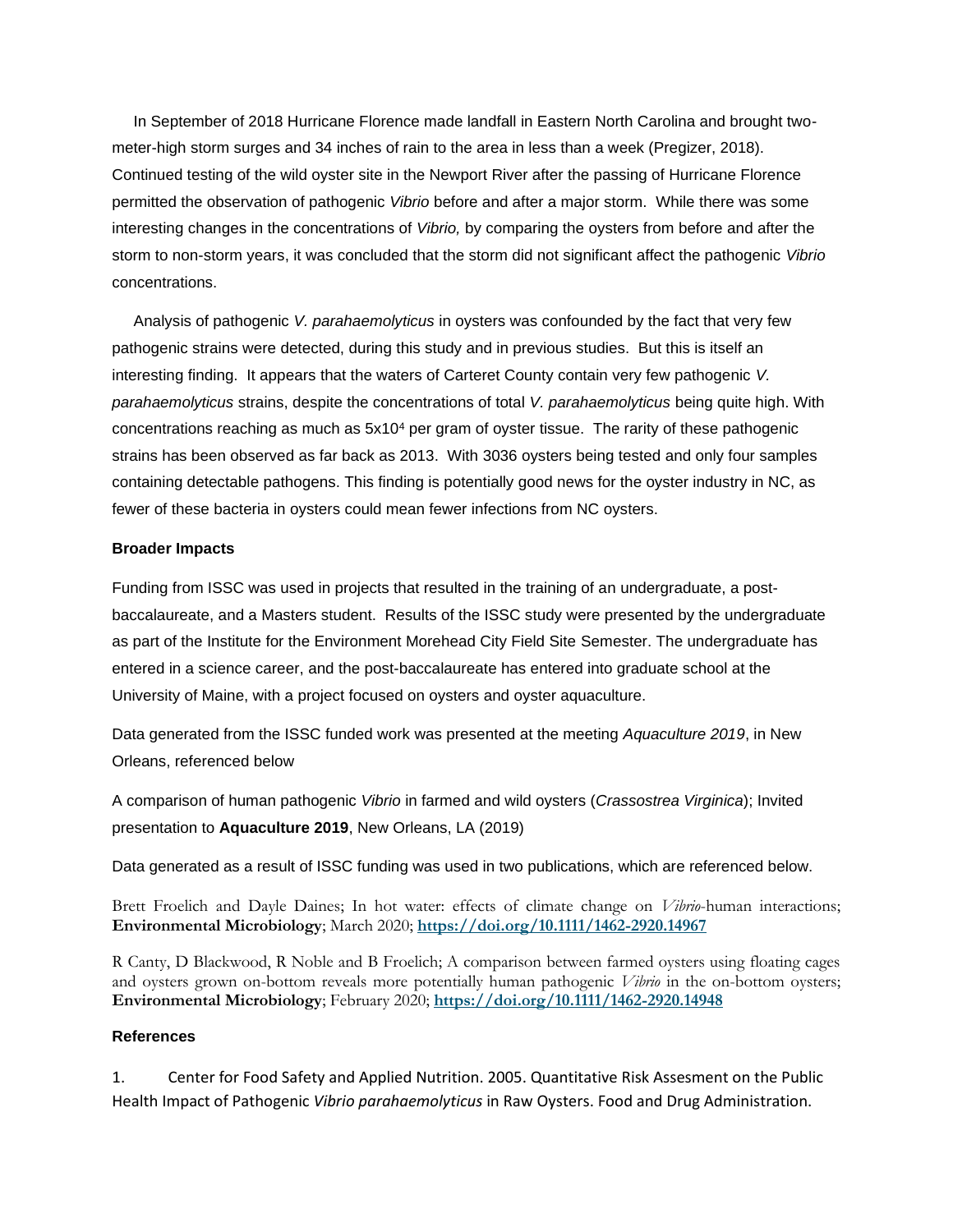In September of 2018 Hurricane Florence made landfall in Eastern North Carolina and brought twometer-high storm surges and 34 inches of rain to the area in less than a week (Pregizer, 2018). Continued testing of the wild oyster site in the Newport River after the passing of Hurricane Florence permitted the observation of pathogenic *Vibrio* before and after a major storm. While there was some interesting changes in the concentrations of *Vibrio,* by comparing the oysters from before and after the storm to non-storm years, it was concluded that the storm did not significant affect the pathogenic *Vibrio*  concentrations.

 Analysis of pathogenic *V. parahaemolyticus* in oysters was confounded by the fact that very few pathogenic strains were detected, during this study and in previous studies. But this is itself an interesting finding. It appears that the waters of Carteret County contain very few pathogenic *V. parahaemolyticus* strains, despite the concentrations of total *V. parahaemolyticus* being quite high. With concentrations reaching as much as 5x10<sup>4</sup> per gram of oyster tissue. The rarity of these pathogenic strains has been observed as far back as 2013. With 3036 oysters being tested and only four samples containing detectable pathogens. This finding is potentially good news for the oyster industry in NC, as fewer of these bacteria in oysters could mean fewer infections from NC oysters.

## **Broader Impacts**

Funding from ISSC was used in projects that resulted in the training of an undergraduate, a postbaccalaureate, and a Masters student. Results of the ISSC study were presented by the undergraduate as part of the Institute for the Environment Morehead City Field Site Semester. The undergraduate has entered in a science career, and the post-baccalaureate has entered into graduate school at the University of Maine, with a project focused on oysters and oyster aquaculture.

Data generated from the ISSC funded work was presented at the meeting *Aquaculture 2019*, in New Orleans, referenced below

A comparison of human pathogenic *Vibrio* in farmed and wild oysters (*Crassostrea Virginica*); Invited presentation to **Aquaculture 2019**, New Orleans, LA (2019)

Data generated as a result of ISSC funding was used in two publications, which are referenced below.

Brett Froelich and Dayle Daines; In hot water: effects of climate change on *Vibrio*-human interactions; **Environmental Microbiology**; March 2020; **<https://doi.org/10.1111/1462-2920.14967>**

R Canty, D Blackwood, R Noble and B Froelich; A comparison between farmed oysters using floating cages and oysters grown on-bottom reveals more potentially human pathogenic *Vibrio* in the on-bottom oysters; **Environmental Microbiology**; February 2020; **<https://doi.org/10.1111/1462-2920.14948>**

# **References**

1. Center for Food Safety and Applied Nutrition. 2005. Quantitative Risk Assesment on the Public Health Impact of Pathogenic *Vibrio parahaemolyticus* in Raw Oysters. Food and Drug Administration.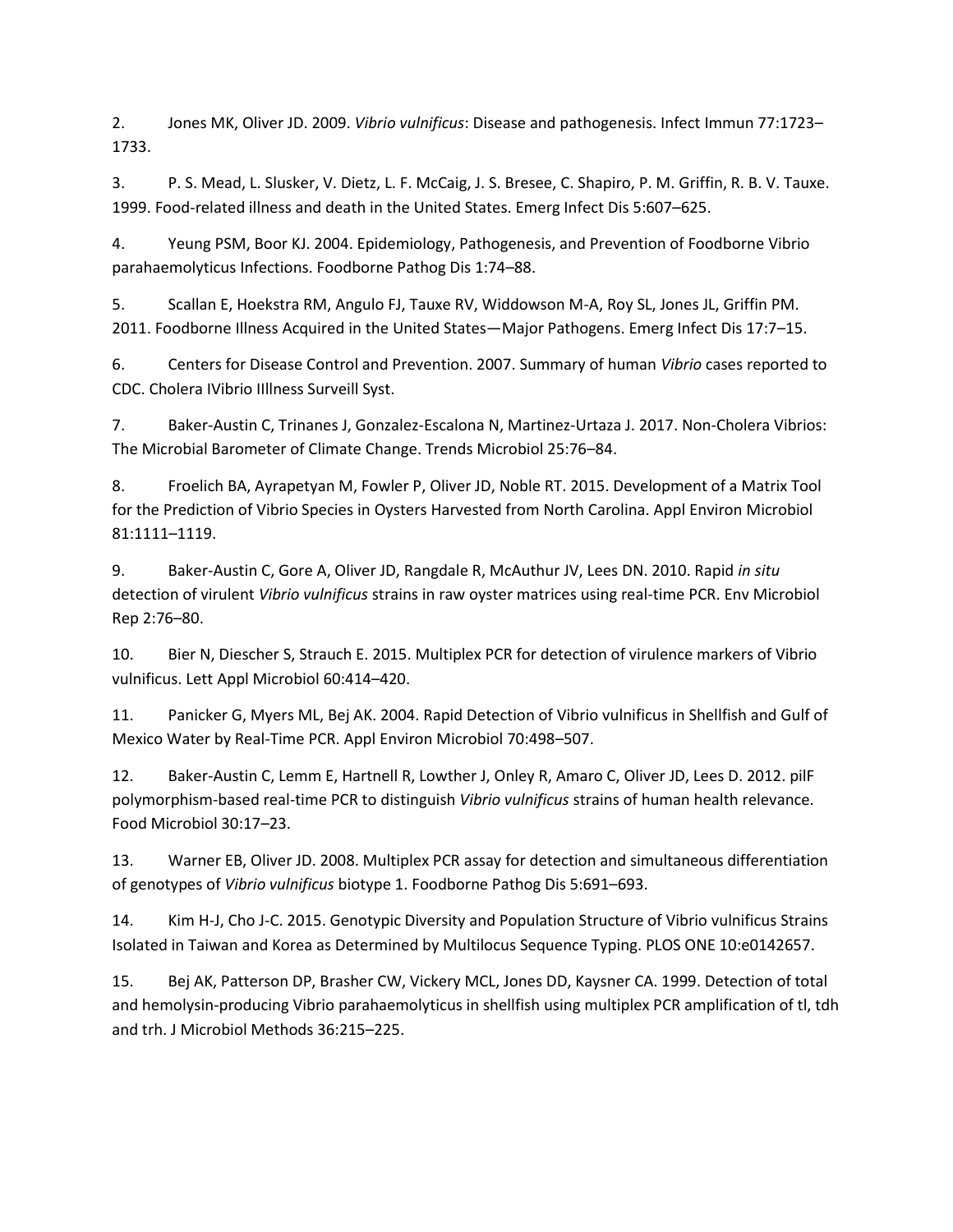2. Jones MK, Oliver JD. 2009. *Vibrio vulnificus*: Disease and pathogenesis. Infect Immun 77:1723– 1733.

3. P. S. Mead, L. Slusker, V. Dietz, L. F. McCaig, J. S. Bresee, C. Shapiro, P. M. Griffin, R. B. V. Tauxe. 1999. Food-related illness and death in the United States. Emerg Infect Dis 5:607–625.

4. Yeung PSM, Boor KJ. 2004. Epidemiology, Pathogenesis, and Prevention of Foodborne Vibrio parahaemolyticus Infections. Foodborne Pathog Dis 1:74–88.

5. Scallan E, Hoekstra RM, Angulo FJ, Tauxe RV, Widdowson M-A, Roy SL, Jones JL, Griffin PM. 2011. Foodborne Illness Acquired in the United States—Major Pathogens. Emerg Infect Dis 17:7–15.

6. Centers for Disease Control and Prevention. 2007. Summary of human *Vibrio* cases reported to CDC. Cholera IVibrio IIllness Surveill Syst.

7. Baker-Austin C, Trinanes J, Gonzalez-Escalona N, Martinez-Urtaza J. 2017. Non-Cholera Vibrios: The Microbial Barometer of Climate Change. Trends Microbiol 25:76–84.

8. Froelich BA, Ayrapetyan M, Fowler P, Oliver JD, Noble RT. 2015. Development of a Matrix Tool for the Prediction of Vibrio Species in Oysters Harvested from North Carolina. Appl Environ Microbiol 81:1111–1119.

9. Baker-Austin C, Gore A, Oliver JD, Rangdale R, McAuthur JV, Lees DN. 2010. Rapid *in situ*  detection of virulent *Vibrio vulnificus* strains in raw oyster matrices using real-time PCR. Env Microbiol Rep 2:76–80.

10. Bier N, Diescher S, Strauch E. 2015. Multiplex PCR for detection of virulence markers of Vibrio vulnificus. Lett Appl Microbiol 60:414–420.

11. Panicker G, Myers ML, Bej AK. 2004. Rapid Detection of Vibrio vulnificus in Shellfish and Gulf of Mexico Water by Real-Time PCR. Appl Environ Microbiol 70:498–507.

12. Baker-Austin C, Lemm E, Hartnell R, Lowther J, Onley R, Amaro C, Oliver JD, Lees D. 2012. pilF polymorphism-based real-time PCR to distinguish *Vibrio vulnificus* strains of human health relevance. Food Microbiol 30:17–23.

13. Warner EB, Oliver JD. 2008. Multiplex PCR assay for detection and simultaneous differentiation of genotypes of *Vibrio vulnificus* biotype 1. Foodborne Pathog Dis 5:691–693.

14. Kim H-J, Cho J-C. 2015. Genotypic Diversity and Population Structure of Vibrio vulnificus Strains Isolated in Taiwan and Korea as Determined by Multilocus Sequence Typing. PLOS ONE 10:e0142657.

15. Bej AK, Patterson DP, Brasher CW, Vickery MCL, Jones DD, Kaysner CA. 1999. Detection of total and hemolysin-producing Vibrio parahaemolyticus in shellfish using multiplex PCR amplification of tl, tdh and trh. J Microbiol Methods 36:215–225.